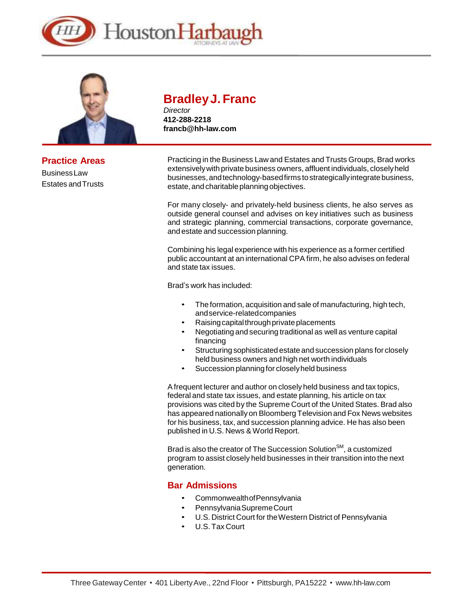



**Practice Areas** BusinessLaw Estates andTrusts

# **BradleyJ. Franc**

*Director* **412-288-2218 [francb@hh-law.com](mailto:francb@hh-law.com)**

Practicing in the Business Law and Estates and Trusts Groups, Brad works extensivelywith private business owners, affluent individuals, closelyheld businesses, and technology-based firms to strategically integrate business, estate, and charitable planning objectives.

For many closely- and privately-held business clients, he also serves as outside general counsel and advises on key initiatives such as business and strategic planning, commercial transactions, corporate governance, and estate and succession planning.

Combining his legal experience with his experience as a former certified public accountant at an international CPA firm, he also advises on federal and state tax issues.

Brad's work has included:

- The formation, acquisition and sale of manufacturing, high tech, andservice-relatedcompanies
- Raising capital through private placements
- Negotiating and securing traditional as well as venture capital financing
- Structuring sophisticated estate and succession plans for closely held business owners and high net worth individuals
- Succession planning for closely held business

Afrequent lecturer and author on closely held business and tax topics, federal and state tax issues, and estate planning, his article on tax provisions was cited by the Supreme Court of the United States. Brad also has appeared nationallyon Bloomberg Television and Fox News websites for his business, tax, and succession planning advice. He has also been published in U.S. News & World Report.

Brad is also the creator of The Succession Solution<sup>SM</sup>, a customized program to assist closely held businesses in their transition into the next generation.

### **Bar Admissions**

- CommonwealthofPennsylvania
- PennsylvaniaSupremeCourt
- U.S. District Court for the Western District of Pennsylvania
- U.S. Tax Court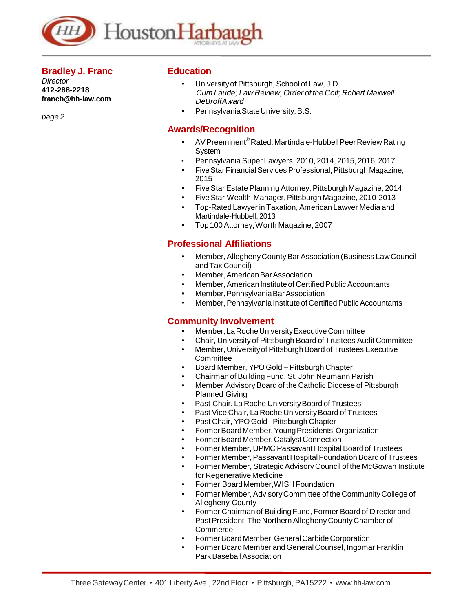

#### **Bradley J. Franc**

*Director* **412-288-2218 [francb@hh-law.com](mailto:francb@hh-law.com)**

*page 2*

## **Education**

- Universityof Pittsburgh, School of Law, J.D. *Cum Laude; Law Review, Order of the Coif; Robert Maxwell DeBroffAward*
- Pennsylvania State University, B.S.

#### **Awards/Recognition**

- AV Preeminent<sup>®</sup> Rated, Martindale-Hubbell Peer Review Rating System
- Pennsylvania Super Lawyers, 2010, 2014, 2015, 2016, 2017
- Five Star Financial Services Professional, Pittsburgh Magazine, 2015
- FiveStar Estate Planning Attorney, Pittsburgh Magazine, 2014
- FiveStar Wealth Manager,Pittsburgh Magazine, 2010-2013
- Top-Rated Lawyer in Taxation, American Lawyer Media and Martindale-Hubbell, 2013
	- Top 100 Attorney,Worth Magazine, 2007

## **Professional Affiliations**

- Member,AlleghenyCountyBarAssociation(Business LawCouncil and Tax Council)
- Member,AmericanBarAssociation
- Member, American Institute of Certified Public Accountants
- Member, Pennsylvania Bar Association
- Member, Pennsylvania Institute of Certified Public Accountants

#### **Community Involvement**

- Member, La Roche University Executive Committee
- Chair, University of Pittsburgh Board of Trustees Audit Committee
- Member, University of Pittsburgh Board of Trustees Executive **Committee**
- Board Member, YPO Gold Pittsburgh Chapter
- Chairman of Building Fund, St. John Neumann Parish
- Member Advisory Board of the Catholic Diocese of Pittsburgh Planned Giving
- Past Chair, La Roche University Board of Trustees
- Past Vice Chair, La Roche University Board of Trustees
- Past Chair, YPO Gold Pittsburgh Chapter
- FormerBoardMember,YoungPresidents'Organization
- Former Board Member, Catalyst Connection
- Former Member, UPMC Passavant Hospital Board of Trustees
- Former Member, Passavant Hospital Foundation Board of Trustees
- Former Member, Strategic AdvisoryCouncil of the McGowan Institute for Regenerative Medicine
- Former BoardMember,WISH Foundation
- Former Member, AdvisoryCommittee of the CommunityCollege of Allegheny County
- Former Chairman of Building Fund, Former Board of Director and Past President, The Northern Allegheny County Chamber of **Commerce**
- Former Board Member, General Carbide Corporation
- Former Board Member and General Counsel, Ingomar Franklin ParkBaseballAssociation